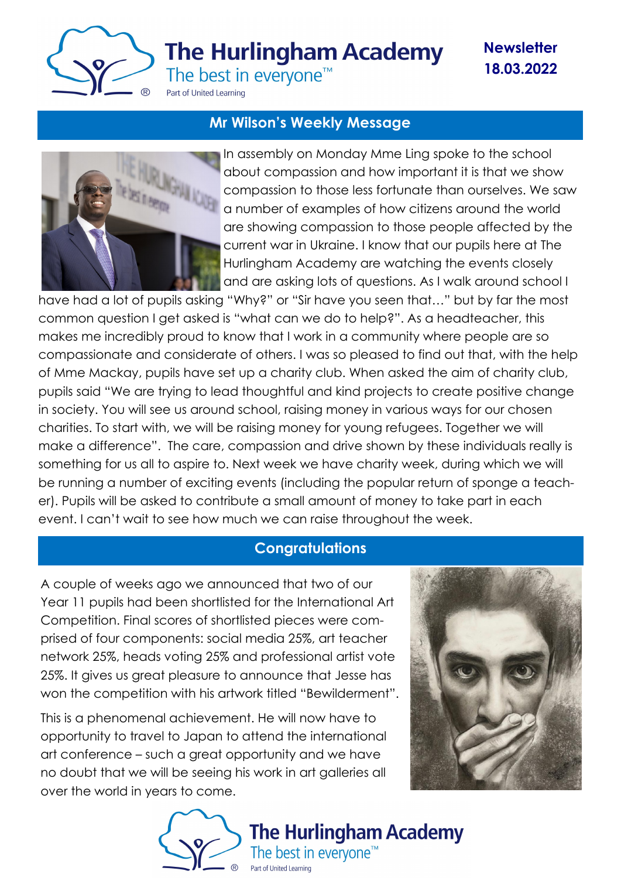

**The Hurlingham Academy** 

**Newsletter 18.03.2022**

The best in everyone<sup>™</sup>

#### Part of United Learning

## **Mr Wilson's Weekly Message**



In assembly on Monday Mme Ling spoke to the school about compassion and how important it is that we show compassion to those less fortunate than ourselves. We saw a number of examples of how citizens around the world are showing compassion to those people affected by the current war in Ukraine. I know that our pupils here at The Hurlingham Academy are watching the events closely and are asking lots of questions. As I walk around school I

have had a lot of pupils asking "Why?" or "Sir have you seen that…" but by far the most common question I get asked is "what can we do to help?". As a headteacher, this makes me incredibly proud to know that I work in a community where people are so compassionate and considerate of others. I was so pleased to find out that, with the help of Mme Mackay, pupils have set up a charity club. When asked the aim of charity club, pupils said "We are trying to lead thoughtful and kind projects to create positive change in society. You will see us around school, raising money in various ways for our chosen charities. To start with, we will be raising money for young refugees. Together we will make a difference". The care, compassion and drive shown by these individuals really is something for us all to aspire to. Next week we have charity week, during which we will be running a number of exciting events (including the popular return of sponge a teacher). Pupils will be asked to contribute a small amount of money to take part in each event. I can't wait to see how much we can raise throughout the week.

### **Congratulations**

A couple of weeks ago we announced that two of our Year 11 pupils had been shortlisted for the International Art Competition. Final scores of shortlisted pieces were comprised of four components: social media 25%, art teacher network 25%, heads voting 25% and professional artist vote 25%. It gives us great pleasure to announce that Jesse has won the competition with his artwork titled "Bewilderment".

This is a phenomenal achievement. He will now have to opportunity to travel to Japan to attend the international art conference – such a great opportunity and we have no doubt that we will be seeing his work in art galleries all over the world in years to come.



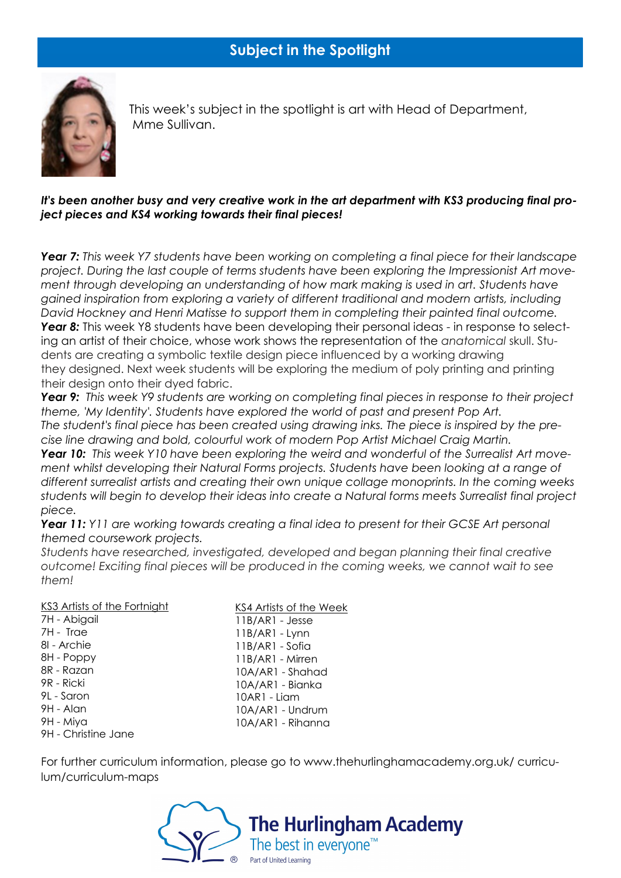

 This week's subject in the spotlight is art with Head of Department, Mme Sullivan.

#### *It's been another busy and very creative work in the art department with KS3 producing final project pieces and KS4 working towards their final pieces!*

*Year 7: This week Y7 students have been working on completing a final piece for their landscape project. During the last couple of terms students have been exploring the Impressionist Art movement through developing an understanding of how mark making is used in art. Students have gained inspiration from exploring a variety of different traditional and modern artists, including David Hockney and Henri Matisse to support them in completing their painted final outcome. Year 8:* This week Y8 students have been developing their personal ideas - in response to selecting an artist of their choice, whose work shows the representation of the *anatomical* skull. Students are creating a symbolic textile design piece influenced by a working drawing they designed. Next week students will be exploring the medium of poly printing and printing their design onto their dyed fabric.

*Year 9: This week Y9 students are working on completing final pieces in response to their project theme, 'My Identity'. Students have explored the world of past and present Pop Art. The student's final piece has been created using drawing inks. The piece is inspired by the precise line drawing and bold, colourful work of modern Pop Artist Michael Craig Martin.*

**Year 10:** This week Y10 have been exploring the weird and wonderful of the Surrealist Art move*ment whilst developing their Natural Forms projects. Students have been looking at a range of different surrealist artists and creating their own unique collage monoprints. In the coming weeks students will begin to develop their ideas into create a Natural forms meets Surrealist final project piece.*

*Year 11: Y11 are working towards creating a final idea to present for their GCSE Art personal themed coursework projects.*

*Students have researched, investigated, developed and began planning their final creative outcome! Exciting final pieces will be produced in the coming weeks, we cannot wait to see them!*

#### KS3 Artists of the Fortnight

7H - Abigail 7H - Trae 8I - Archie 8H - Poppy 8R - Razan 9R - Ricki 9L - Saron 9H - Alan 9H - Miya 9H - Christine Jane KS4 Artists of the Week 11B/AR1 - Jesse 11B/AR1 - Lynn 11B/AR1 - Sofia 11B/AR1 - Mirren 10A/AR1 - Shahad 10A/AR1 - Bianka 10AR1 - Liam 10A/AR1 - Undrum 10A/AR1 - Rihanna

For further curriculum information, please go to www.thehurlinghamacademy.org.uk/ curriculum/curriculum-maps

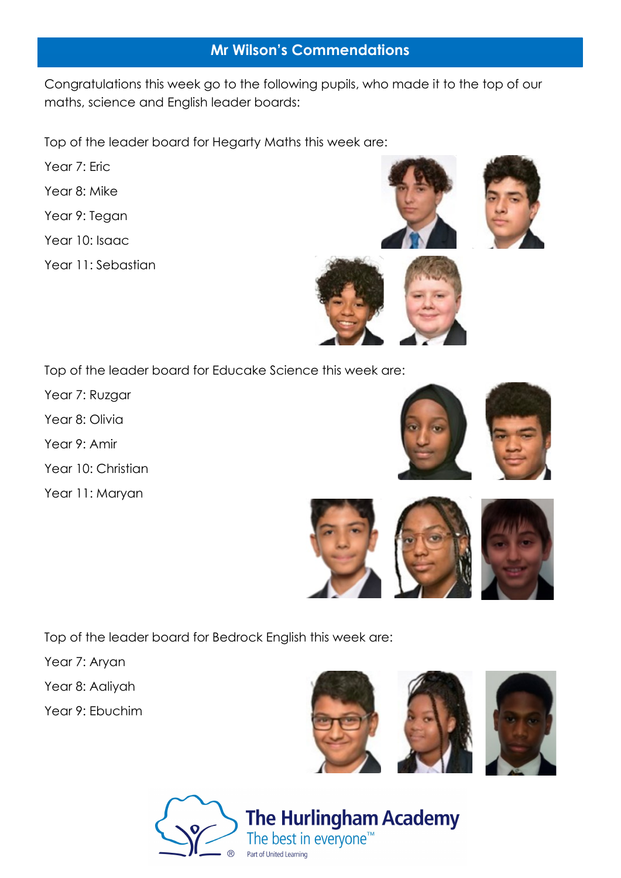## **Mr Wilson's Commendations**

Congratulations this week go to the following pupils, who made it to the top of our maths, science and English leader boards:

Top of the leader board for Hegarty Maths this week are:

- Year 7: Eric
- Year 8: Mike
- Year 9: Tegan
- Year 10: Isaac
- Year 11: Sebastian

Top of the leader board for Educake Science this week are:

- Year 7: Ruzgar
- Year 8: Olivia
- Year 9: Amir
- Year 10: Christian
- Year 11: Maryan

Top of the leader board for Bedrock English this week are:

- Year 7: Aryan
- Year 8: Aaliyah
- Year 9: Ebuchim